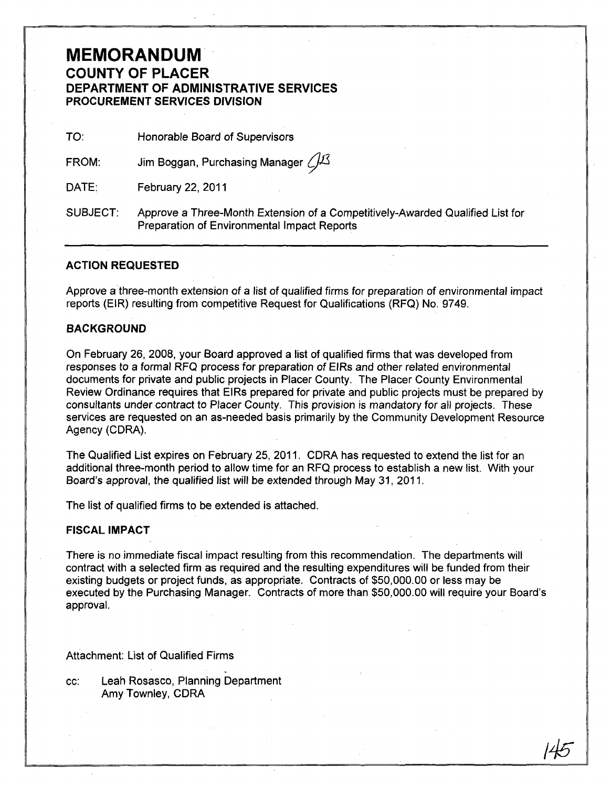# **MEMORANDUM COUNTY OF PLACER DEPARTMENT OF ADMINISTRATIVE SERVICES PROCUREMENT SERVICES DIVISION**

TO: Honorable Board of Supervisors

FROM: Jim Boggan, Purchasing Manager  $\sqrt{1/3}$ 

DATE: February 22, 2011

SUBJECT: Approve a Three-Month Extension of a Competitively-Awarded Qualified List for Preparation of Environmental Impact Reports

## **ACTION REQUESTED**

Approve a three-month extension of a list of qualified firms for preparation of environmental impact reports (EIR) resulting from competitive Request for Qualifications (RFQ) No. 9749.

### **BACKGROUND**

On February 26, 2008, your Board approved a list of qualified firms that was developed from responses to a formal RFQ process for preparation of EIRs and other related environmental documents for private and public projects in Placer County. The Placer County Environmental Review Ordinance requires that EIRs prepared for private and public projects must be prepared by consultants under contract to Placer County. This provision is mandatory for all projects. These services are requested on an as-needed basis primarily by the Community Development Resource Agency (CORA).

The Qualified List expires on February 25, 2011. CORA has requested to extend the list for an additional three-month period to allow time for an RFQ process to establish a new list. With your Board's approval, the qualified list will be extended through May 31, 2011.

The list of qualified firms to be extended is attached.

#### **FISCAL IMPACT**

There is no immediate fiscal impact resulting from this recommendation. The departments will contract with a selected firm as required and the resulting expenditures will be funded from their existing budgets or project funds, as appropriate. Contracts of \$50,000.00 or less may be executed by the Purchasing Manager. Contracts of more than \$50,000.00 will require your Board's approval.

145

Attachment: List of Qualified Firms

cc: Leah Rosasco, Planning Department Amy Townley, CORA